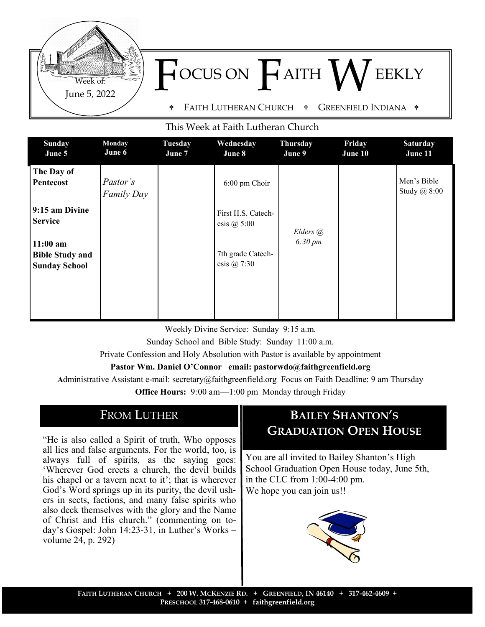

#### This Week at Faith Lutheran Church

| The Day of<br>Pastor's<br>Pentecost<br>6:00 pm Choir<br><b>Family Day</b>                                               | Men's Bible<br>Study @ 8:00 |
|-------------------------------------------------------------------------------------------------------------------------|-----------------------------|
| 9:15 am Divine<br>First H.S. Catech-<br><b>Service</b><br>esis $@5:00$<br>Elders @<br>$6:30 \, \text{pm}$<br>$11:00$ am |                             |
| 7th grade Catech-<br><b>Bible Study and</b><br>esis $@7:30$<br><b>Sunday School</b>                                     |                             |

Weekly Divine Service: Sunday 9:15 a.m.

Sunday School and Bible Study: Sunday 11:00 a.m.

Private Confession and Holy Absolution with Pastor is available by appointment

#### **Pastor Wm. Daniel O'Connor email: pastorwdo@faithgreenfield.org**

**A**dministrative Assistant e-mail: secretary@faithgreenfield.org Focus on Faith Deadline: 9 am Thursday

**Office Hours:** 9:00 am—1:00 pm Monday through Friday

## FROM LUTHER

"He is also called a Spirit of truth, Who opposes all lies and false arguments. For the world, too, is always full of spirits, as the saying goes: 'Wherever God erects a church, the devil builds his chapel or a tavern next to it'; that is wherever God's Word springs up in its purity, the devil ushers in sects, factions, and many false spirits who also deck themselves with the glory and the Name of Christ and His church." (commenting on today's Gospel: John 14:23-31, in Luther's Works – volume 24, p. 292)

# **BAILEY SHANTON'S GRADUATION OPEN HOUSE**

You are all invited to Bailey Shanton's High School Graduation Open House today, June 5th, in the CLC from 1:00-4:00 pm. We hope you can join us!!

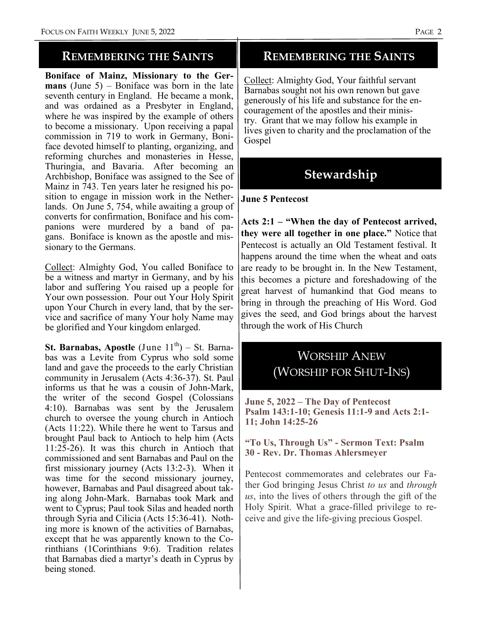### **REMEMBERING THE SAINTS**

**Boniface of Mainz, Missionary to the Germans** (June 5) – Boniface was born in the late seventh century in England. He became a monk, and was ordained as a Presbyter in England, where he was inspired by the example of others to become a missionary. Upon receiving a papal commission in 719 to work in Germany, Boniface devoted himself to planting, organizing, and reforming churches and monasteries in Hesse, Thuringia, and Bavaria. After becoming an Archbishop, Boniface was assigned to the See of Mainz in 743. Ten years later he resigned his position to engage in mission work in the Netherlands. On June 5, 754, while awaiting a group of converts for confirmation, Boniface and his companions were murdered by a band of pagans. Boniface is known as the apostle and missionary to the Germans.

Collect: Almighty God, You called Boniface to be a witness and martyr in Germany, and by his labor and suffering You raised up a people for Your own possession. Pour out Your Holy Spirit upon Your Church in every land, that by the service and sacrifice of many Your holy Name may be glorified and Your kingdom enlarged.

**St. Barnabas, Apostle** (June  $11^{th}$ ) – St. Barnabas was a Levite from Cyprus who sold some land and gave the proceeds to the early Christian community in Jerusalem (Acts 4:36-37). St. Paul informs us that he was a cousin of John-Mark, the writer of the second Gospel (Colossians 4:10). Barnabas was sent by the Jerusalem church to oversee the young church in Antioch (Acts 11:22). While there he went to Tarsus and brought Paul back to Antioch to help him (Acts 11:25-26). It was this church in Antioch that commissioned and sent Barnabas and Paul on the first missionary journey (Acts 13:2-3). When it was time for the second missionary journey, however, Barnabas and Paul disagreed about taking along John-Mark. Barnabas took Mark and went to Cyprus; Paul took Silas and headed north through Syria and Cilicia (Acts 15:36-41). Nothing more is known of the activities of Barnabas, except that he was apparently known to the Corinthians (1Corinthians 9:6). Tradition relates that Barnabas died a martyr's death in Cyprus by being stoned.

### **REMEMBERING THE SAINTS**

Collect: Almighty God, Your faithful servant Barnabas sought not his own renown but gave generously of his life and substance for the encouragement of the apostles and their ministry. Grant that we may follow his example in lives given to charity and the proclamation of the Gospel

# **Stewardship**

#### **June 5 Pentecost**

**Acts 2:1 – "When the day of Pentecost arrived, they were all together in one place."** Notice that Pentecost is actually an Old Testament festival. It happens around the time when the wheat and oats are ready to be brought in. In the New Testament, this becomes a picture and foreshadowing of the great harvest of humankind that God means to bring in through the preaching of His Word. God gives the seed, and God brings about the harvest through the work of His Church

# WORSHIP ANEW (WORSHIP FOR SHUT-INS)

**June 5, 2022 – The Day of Pentecost Psalm 143:1-10; Genesis 11:1-9 and Acts 2:1- 11; John 14:25-26**

#### **"To Us, Through Us" - Sermon Text: Psalm 30 - Rev. Dr. Thomas Ahlersmeyer**

Pentecost commemorates and celebrates our Father God bringing Jesus Christ *to us* and *through us*, into the lives of others through the gift of the Holy Spirit. What a grace-filled privilege to receive and give the life-giving precious Gospel.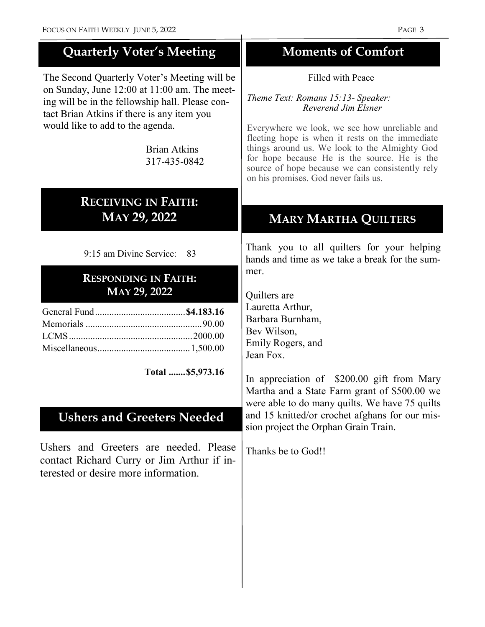| <b>Quarterly Voter's Meeting</b>                                                                                                                                                                                                                                         | <b>Moments of Comfort</b>                                                                                                                                                                                                                                                                                                                                                      |
|--------------------------------------------------------------------------------------------------------------------------------------------------------------------------------------------------------------------------------------------------------------------------|--------------------------------------------------------------------------------------------------------------------------------------------------------------------------------------------------------------------------------------------------------------------------------------------------------------------------------------------------------------------------------|
| The Second Quarterly Voter's Meeting will be<br>on Sunday, June 12:00 at 11:00 am. The meet-<br>ing will be in the fellowship hall. Please con-<br>tact Brian Atkins if there is any item you<br>would like to add to the agenda.<br><b>Brian Atkins</b><br>317-435-0842 | Filled with Peace<br>Theme Text: Romans 15:13- Speaker:<br>Reverend Jim Elsner<br>Everywhere we look, we see how unreliable and<br>fleeting hope is when it rests on the immediate<br>things around us. We look to the Almighty God<br>for hope because He is the source. He is the<br>source of hope because we can consistently rely<br>on his promises. God never fails us. |
| <b>RECEIVING IN FAITH:</b><br>MAY 29, 2022                                                                                                                                                                                                                               | <b>MARY MARTHA QUILTERS</b>                                                                                                                                                                                                                                                                                                                                                    |
| 9:15 am Divine Service:<br>83<br><b>RESPONDING IN FAITH:</b><br>MAY 29, 2022<br>Total  \$5,973.16                                                                                                                                                                        | Thank you to all quilters for your helping<br>hands and time as we take a break for the sum-<br>mer.<br>Quilters are<br>Lauretta Arthur,<br>Barbara Burnham,<br>Bev Wilson,<br>Emily Rogers, and<br>Jean Fox.<br>In appreciation of \$200.00 gift from Mary<br>Martha and a State Farm grant of \$500.00 we<br>were able to do many quilts. We have 75 quilts                  |
| <b>Ushers and Greeters Needed</b><br>Ushers and Greeters are needed. Please<br>contact Richard Curry or Jim Arthur if in-<br>terested or desire more information.                                                                                                        | and 15 knitted/or crochet afghans for our mis-<br>sion project the Orphan Grain Train.<br>Thanks be to God!!                                                                                                                                                                                                                                                                   |
|                                                                                                                                                                                                                                                                          |                                                                                                                                                                                                                                                                                                                                                                                |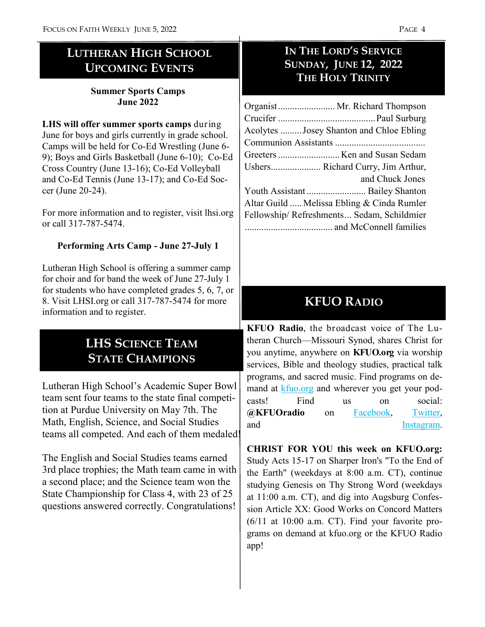# **LUTHERAN HIGH SCHOOL UPCOMING EVENTS**

#### **Summer Sports Camps June 2022**

**LHS will offer summer sports camps** during June for boys and girls currently in grade school. Camps will be held for Co-Ed Wrestling (June 6- 9); Boys and Girls Basketball (June 6-10); Co-Ed Cross Country (June 13-16); Co-Ed Volleyball and Co-Ed Tennis (June 13-17); and Co-Ed Soccer (June 20-24).

For more information and to register, visit lhsi.org or call 317-787-5474.

### **Performing Arts Camp - June 27-July 1**

Lutheran High School is offering a summer camp for choir and for band the week of June 27-July 1 for students who have completed grades 5, 6, 7, or 8. Visit LHSI.org or call 317-787-5474 for more information and to register.

# **LHS SCIENCE TEAM STATE CHAMPIONS**

Lutheran High School's Academic Super Bowl team sent four teams to the state final competition at Purdue University on May 7th. The Math, English, Science, and Social Studies teams all competed. And each of them medaled!

The English and Social Studies teams earned 3rd place trophies; the Math team came in with a second place; and the Science team won the State Championship for Class 4, with 23 of 25 questions answered correctly. Congratulations!

## **IN THE LORD'S SERVICE SUNDAY, JUNE 12, 2022 THE HOLY TRINITY**

| Organist Mr. Richard Thompson              |  |  |
|--------------------------------------------|--|--|
|                                            |  |  |
| Acolytes  Josey Shanton and Chloe Ebling   |  |  |
|                                            |  |  |
|                                            |  |  |
| Ushers Richard Curry, Jim Arthur,          |  |  |
| and Chuck Jones                            |  |  |
|                                            |  |  |
| Altar Guild  Melissa Ebling & Cinda Rumler |  |  |
| Fellowship/Refreshments Sedam, Schildmier  |  |  |
|                                            |  |  |

# **KFUO RADIO**

**KFUO Radio**, the broadcast voice of The Lutheran Church—Missouri Synod, shares Christ for you anytime, anywhere on **KFUO.org** via worship services, Bible and theology studies, practical talk programs, and sacred music. Find programs on demand at [kfuo.org](https://kfuo.us19.list-manage.com/track/click?u=54af661ed49340a315983cb13&id=fd26688684&e=9fbf9b262b) and wherever you get your podcasts! Find us on social: **@KFUOradio** on [Facebook,](https://kfuo.us19.list-manage.com/track/click?u=54af661ed49340a315983cb13&id=b928fef4ba&e=9fbf9b262b) [Twitter,](https://kfuo.us19.list-manage.com/track/click?u=54af661ed49340a315983cb13&id=3e9e294abe&e=9fbf9b262b)  and [Instagram.](https://kfuo.us19.list-manage.com/track/click?u=54af661ed49340a315983cb13&id=45a5c39706&e=9fbf9b262b)

**CHRIST FOR YOU this week on KFUO.org:** Study Acts 15-17 on Sharper Iron's "To the End of the Earth" (weekdays at 8:00 a.m. CT), continue studying Genesis on Thy Strong Word (weekdays at 11:00 a.m. CT), and dig into Augsburg Confession Article XX: Good Works on Concord Matters (6/11 at 10:00 a.m. CT). Find your favorite programs on demand at kfuo.org or the KFUO Radio app!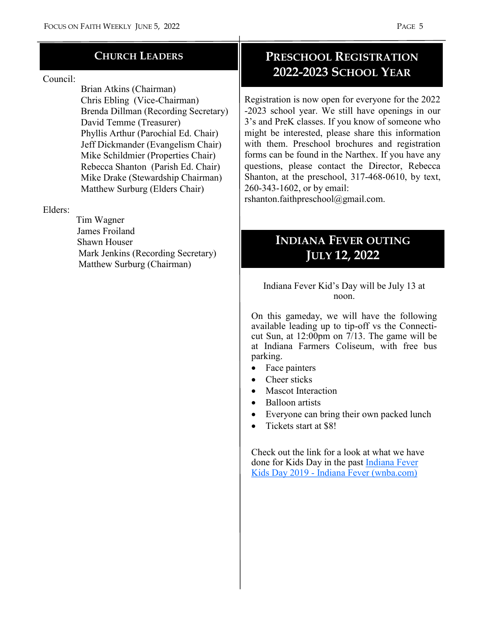### **CHURCH LEADERS**

#### Council:

 Brian Atkins (Chairman) Chris Ebling (Vice-Chairman) Brenda Dillman (Recording Secretary) David Temme (Treasurer) Phyllis Arthur (Parochial Ed. Chair) Jeff Dickmander (Evangelism Chair) Mike Schildmier (Properties Chair) Rebecca Shanton (Parish Ed. Chair) Mike Drake (Stewardship Chairman) Matthew Surburg (Elders Chair)

#### Elders:

 Tim Wagner James Froiland Shawn Houser Mark Jenkins (Recording Secretary) Matthew Surburg (Chairman)

## **PRESCHOOL REGISTRATION 2022-2023 SCHOOL YEAR**

Registration is now open for everyone for the 2022 -2023 school year. We still have openings in our 3's and PreK classes. If you know of someone who might be interested, please share this information with them. Preschool brochures and registration forms can be found in the Narthex. If you have any questions, please contact the Director, Rebecca Shanton, at the preschool, 317-468-0610, by text, 260-343-1602, or by email:

rshanton.faithpreschool@gmail.com.

# **INDIANA FEVER OUTING JULY 12, 2022**

#### Indiana Fever Kid's Day will be July 13 at noon.

On this gameday, we will have the following available leading up to tip-off vs the Connecticut Sun, at  $12:00 \text{pm}$  on  $7/13$ . The game will be at Indiana Farmers Coliseum, with free bus parking.

- Face painters
- Cheer sticks
- Mascot Interaction
- Balloon artists
- Everyone can bring their own packed lunch
- Tickets start at \$8!

Check out the link for a look at what we have done for Kids Day in the past [Indiana Fever](https://nam02.safelinks.protection.outlook.com/?url=https%3A%2F%2Ffever.wnba.com%2Fgroups%2Fkids-day%2F&data=05%7C01%7CCEvans%40PACERS.com%7C13bc102c83744e4cf7ac08da2e064c3b%7C25a1d65179e3465a8d16d790287be72a%7C0%7C0%7C637872901842488920%7CUnknown%7CTWFpbGZsb)  Kids Day 2019 - [Indiana Fever \(wnba.com\)](https://nam02.safelinks.protection.outlook.com/?url=https%3A%2F%2Ffever.wnba.com%2Fgroups%2Fkids-day%2F&data=05%7C01%7CCEvans%40PACERS.com%7C13bc102c83744e4cf7ac08da2e064c3b%7C25a1d65179e3465a8d16d790287be72a%7C0%7C0%7C637872901842488920%7CUnknown%7CTWFpbGZsb)